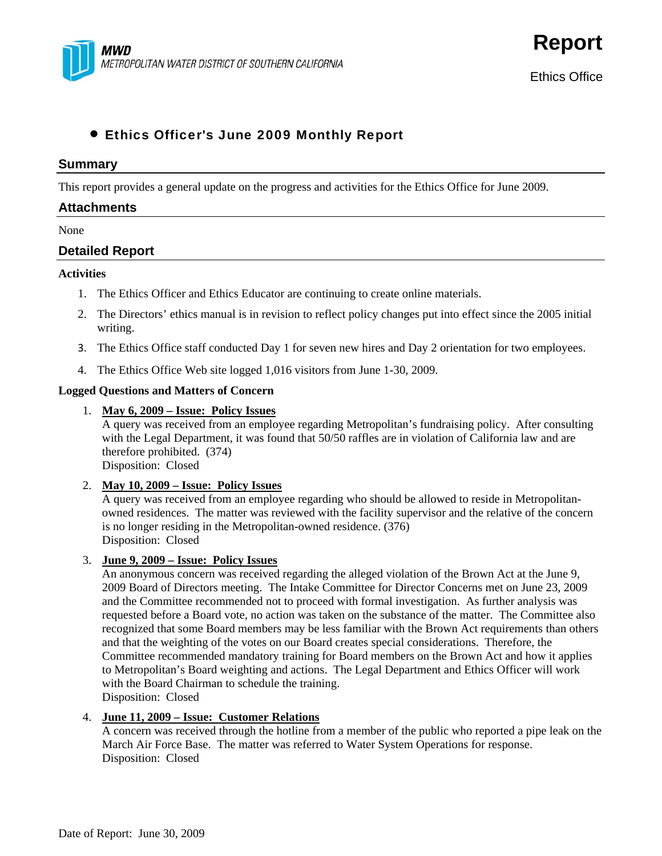

**Report**

# • Ethics Officer's June 2009 Monthly Report

#### **Summary**

This report provides a general update on the progress and activities for the Ethics Office for June 2009.

# **Attachments**

#### None

# **Detailed Report**

#### **Activities**

- 1. The Ethics Officer and Ethics Educator are continuing to create online materials.
- 2. The Directors' ethics manual is in revision to reflect policy changes put into effect since the 2005 initial writing.
- 3. The Ethics Office staff conducted Day 1 for seven new hires and Day 2 orientation for two employees.
- 4. The Ethics Office Web site logged 1,016 visitors from June 1-30, 2009.

#### **Logged Questions and Matters of Concern**

#### 1. **May 6, 2009 – Issue: Policy Issues**

A query was received from an employee regarding Metropolitan's fundraising policy. After consulting with the Legal Department, it was found that 50/50 raffles are in violation of California law and are therefore prohibited. (374)

Disposition: Closed

#### 2. **May 10, 2009 – Issue: Policy Issues**

A query was received from an employee regarding who should be allowed to reside in Metropolitanowned residences. The matter was reviewed with the facility supervisor and the relative of the concern is no longer residing in the Metropolitan-owned residence. (376) Disposition: Closed

#### 3. **June 9, 2009 – Issue: Policy Issues**

An anonymous concern was received regarding the alleged violation of the Brown Act at the June 9, 2009 Board of Directors meeting. The Intake Committee for Director Concerns met on June 23, 2009 and the Committee recommended not to proceed with formal investigation. As further analysis was requested before a Board vote, no action was taken on the substance of the matter. The Committee also recognized that some Board members may be less familiar with the Brown Act requirements than others and that the weighting of the votes on our Board creates special considerations. Therefore, the Committee recommended mandatory training for Board members on the Brown Act and how it applies to Metropolitan's Board weighting and actions. The Legal Department and Ethics Officer will work with the Board Chairman to schedule the training. Disposition: Closed

#### 4. **June 11, 2009 – Issue: Customer Relations**

A concern was received through the hotline from a member of the public who reported a pipe leak on the March Air Force Base. The matter was referred to Water System Operations for response. Disposition: Closed